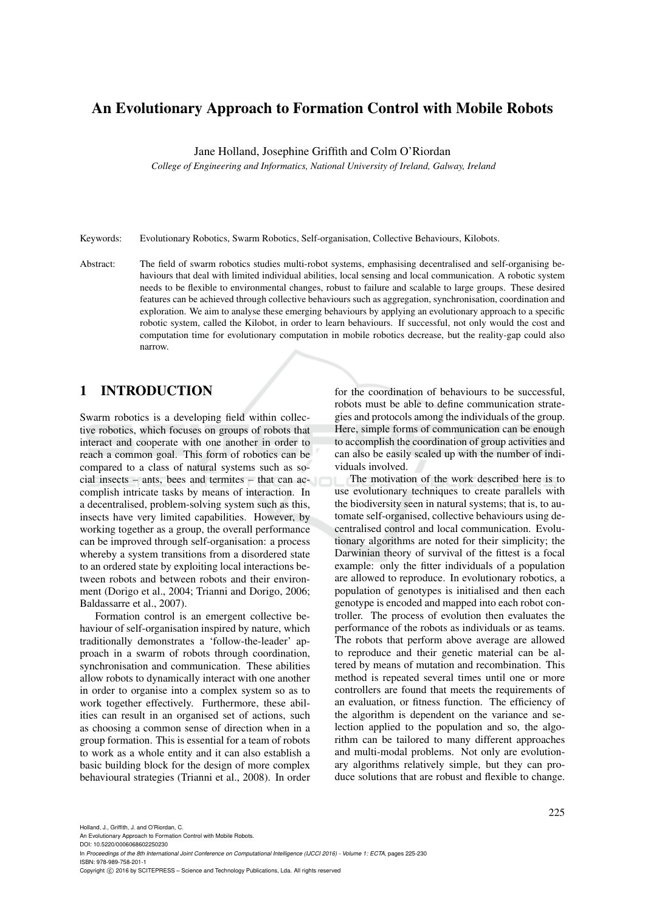## An Evolutionary Approach to Formation Control with Mobile Robots

Jane Holland, Josephine Griffith and Colm O'Riordan

*College of Engineering and Informatics, National University of Ireland, Galway, Ireland*

Keywords: Evolutionary Robotics, Swarm Robotics, Self-organisation, Collective Behaviours, Kilobots.

Abstract: The field of swarm robotics studies multi-robot systems, emphasising decentralised and self-organising behaviours that deal with limited individual abilities, local sensing and local communication. A robotic system needs to be flexible to environmental changes, robust to failure and scalable to large groups. These desired features can be achieved through collective behaviours such as aggregation, synchronisation, coordination and exploration. We aim to analyse these emerging behaviours by applying an evolutionary approach to a specific robotic system, called the Kilobot, in order to learn behaviours. If successful, not only would the cost and computation time for evolutionary computation in mobile robotics decrease, but the reality-gap could also narrow.

## 1 INTRODUCTION

Swarm robotics is a developing field within collective robotics, which focuses on groups of robots that interact and cooperate with one another in order to reach a common goal. This form of robotics can be compared to a class of natural systems such as social insects – ants, bees and termites – that can accomplish intricate tasks by means of interaction. In a decentralised, problem-solving system such as this, insects have very limited capabilities. However, by working together as a group, the overall performance can be improved through self-organisation: a process whereby a system transitions from a disordered state to an ordered state by exploiting local interactions between robots and between robots and their environment (Dorigo et al., 2004; Trianni and Dorigo, 2006; Baldassarre et al., 2007).

Formation control is an emergent collective behaviour of self-organisation inspired by nature, which traditionally demonstrates a 'follow-the-leader' approach in a swarm of robots through coordination, synchronisation and communication. These abilities allow robots to dynamically interact with one another in order to organise into a complex system so as to work together effectively. Furthermore, these abilities can result in an organised set of actions, such as choosing a common sense of direction when in a group formation. This is essential for a team of robots to work as a whole entity and it can also establish a basic building block for the design of more complex behavioural strategies (Trianni et al., 2008). In order

for the coordination of behaviours to be successful, robots must be able to define communication strategies and protocols among the individuals of the group. Here, simple forms of communication can be enough to accomplish the coordination of group activities and can also be easily scaled up with the number of individuals involved.

The motivation of the work described here is to use evolutionary techniques to create parallels with the biodiversity seen in natural systems; that is, to automate self-organised, collective behaviours using decentralised control and local communication. Evolutionary algorithms are noted for their simplicity; the Darwinian theory of survival of the fittest is a focal example: only the fitter individuals of a population are allowed to reproduce. In evolutionary robotics, a population of genotypes is initialised and then each genotype is encoded and mapped into each robot controller. The process of evolution then evaluates the performance of the robots as individuals or as teams. The robots that perform above average are allowed to reproduce and their genetic material can be altered by means of mutation and recombination. This method is repeated several times until one or more controllers are found that meets the requirements of an evaluation, or fitness function. The efficiency of the algorithm is dependent on the variance and selection applied to the population and so, the algorithm can be tailored to many different approaches and multi-modal problems. Not only are evolutionary algorithms relatively simple, but they can produce solutions that are robust and flexible to change.

Holland, J., Griffith, J. and O'Riordan, C.

An Evolutionary Approach to Formation Control with Mobile Robots. DOI: 10.5220/0006068602250230

In *Proceedings of the 8th International Joint Conference on Computational Intelligence (IJCCI 2016) - Volume 1: ECTA*, pages 225-230 ISBN: 978-989-758-201-1

Copyright © 2016 by SCITEPRESS - Science and Technology Publications, Lda. All rights reserved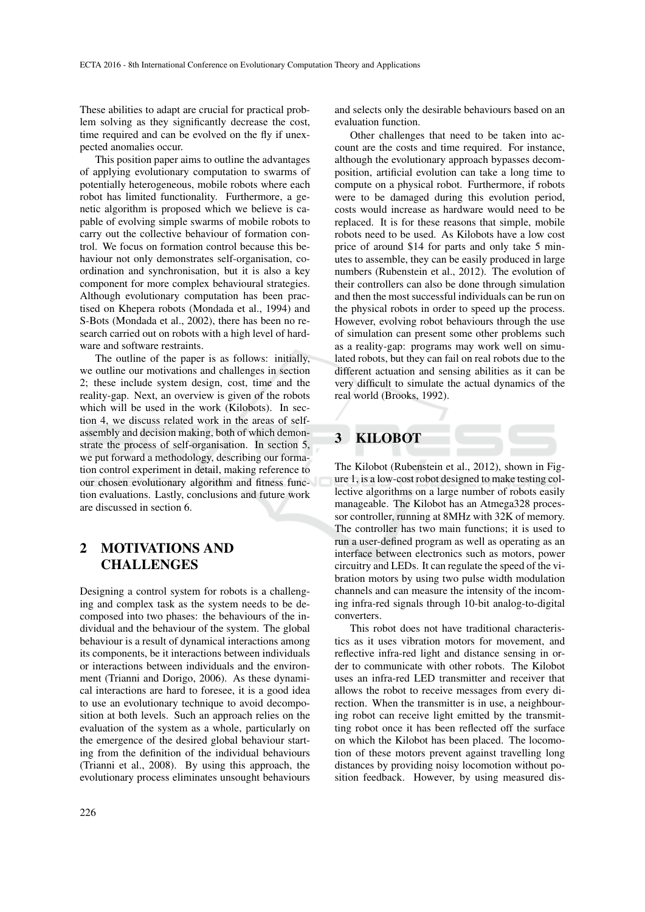These abilities to adapt are crucial for practical problem solving as they significantly decrease the cost, time required and can be evolved on the fly if unexpected anomalies occur.

This position paper aims to outline the advantages of applying evolutionary computation to swarms of potentially heterogeneous, mobile robots where each robot has limited functionality. Furthermore, a genetic algorithm is proposed which we believe is capable of evolving simple swarms of mobile robots to carry out the collective behaviour of formation control. We focus on formation control because this behaviour not only demonstrates self-organisation, coordination and synchronisation, but it is also a key component for more complex behavioural strategies. Although evolutionary computation has been practised on Khepera robots (Mondada et al., 1994) and S-Bots (Mondada et al., 2002), there has been no research carried out on robots with a high level of hardware and software restraints.

The outline of the paper is as follows: initially, we outline our motivations and challenges in section 2; these include system design, cost, time and the reality-gap. Next, an overview is given of the robots which will be used in the work (Kilobots). In section 4, we discuss related work in the areas of selfassembly and decision making, both of which demonstrate the process of self-organisation. In section 5, we put forward a methodology, describing our formation control experiment in detail, making reference to our chosen evolutionary algorithm and fitness function evaluations. Lastly, conclusions and future work are discussed in section 6.

# 2 MOTIVATIONS AND **CHALLENGES**

Designing a control system for robots is a challenging and complex task as the system needs to be decomposed into two phases: the behaviours of the individual and the behaviour of the system. The global behaviour is a result of dynamical interactions among its components, be it interactions between individuals or interactions between individuals and the environment (Trianni and Dorigo, 2006). As these dynamical interactions are hard to foresee, it is a good idea to use an evolutionary technique to avoid decomposition at both levels. Such an approach relies on the evaluation of the system as a whole, particularly on the emergence of the desired global behaviour starting from the definition of the individual behaviours (Trianni et al., 2008). By using this approach, the evolutionary process eliminates unsought behaviours

and selects only the desirable behaviours based on an evaluation function.

Other challenges that need to be taken into account are the costs and time required. For instance, although the evolutionary approach bypasses decomposition, artificial evolution can take a long time to compute on a physical robot. Furthermore, if robots were to be damaged during this evolution period, costs would increase as hardware would need to be replaced. It is for these reasons that simple, mobile robots need to be used. As Kilobots have a low cost price of around \$14 for parts and only take 5 minutes to assemble, they can be easily produced in large numbers (Rubenstein et al., 2012). The evolution of their controllers can also be done through simulation and then the most successful individuals can be run on the physical robots in order to speed up the process. However, evolving robot behaviours through the use of simulation can present some other problems such as a reality-gap: programs may work well on simulated robots, but they can fail on real robots due to the different actuation and sensing abilities as it can be very difficult to simulate the actual dynamics of the real world (Brooks, 1992).

## 3 KILOBOT

The Kilobot (Rubenstein et al., 2012), shown in Figure 1, is a low-cost robot designed to make testing collective algorithms on a large number of robots easily manageable. The Kilobot has an Atmega328 processor controller, running at 8MHz with 32K of memory. The controller has two main functions; it is used to run a user-defined program as well as operating as an interface between electronics such as motors, power circuitry and LEDs. It can regulate the speed of the vibration motors by using two pulse width modulation channels and can measure the intensity of the incoming infra-red signals through 10-bit analog-to-digital converters.

This robot does not have traditional characteristics as it uses vibration motors for movement, and reflective infra-red light and distance sensing in order to communicate with other robots. The Kilobot uses an infra-red LED transmitter and receiver that allows the robot to receive messages from every direction. When the transmitter is in use, a neighbouring robot can receive light emitted by the transmitting robot once it has been reflected off the surface on which the Kilobot has been placed. The locomotion of these motors prevent against travelling long distances by providing noisy locomotion without position feedback. However, by using measured dis-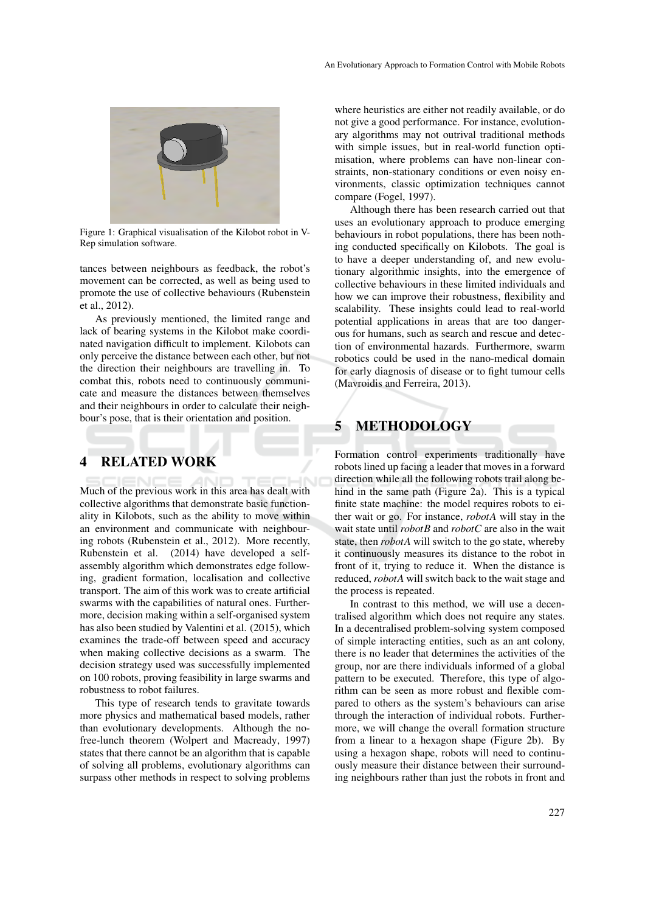

Figure 1: Graphical visualisation of the Kilobot robot in V-Rep simulation software.

tances between neighbours as feedback, the robot's movement can be corrected, as well as being used to promote the use of collective behaviours (Rubenstein et al., 2012).

As previously mentioned, the limited range and lack of bearing systems in the Kilobot make coordinated navigation difficult to implement. Kilobots can only perceive the distance between each other, but not the direction their neighbours are travelling in. To combat this, robots need to continuously communicate and measure the distances between themselves and their neighbours in order to calculate their neighbour's pose, that is their orientation and position.

## 4 RELATED WORK

Much of the previous work in this area has dealt with collective algorithms that demonstrate basic functionality in Kilobots, such as the ability to move within an environment and communicate with neighbouring robots (Rubenstein et al., 2012). More recently, Rubenstein et al. (2014) have developed a selfassembly algorithm which demonstrates edge following, gradient formation, localisation and collective transport. The aim of this work was to create artificial swarms with the capabilities of natural ones. Furthermore, decision making within a self-organised system has also been studied by Valentini et al. (2015), which examines the trade-off between speed and accuracy when making collective decisions as a swarm. The decision strategy used was successfully implemented on 100 robots, proving feasibility in large swarms and robustness to robot failures.

This type of research tends to gravitate towards more physics and mathematical based models, rather than evolutionary developments. Although the nofree-lunch theorem (Wolpert and Macready, 1997) states that there cannot be an algorithm that is capable of solving all problems, evolutionary algorithms can surpass other methods in respect to solving problems where heuristics are either not readily available, or do not give a good performance. For instance, evolutionary algorithms may not outrival traditional methods with simple issues, but in real-world function optimisation, where problems can have non-linear constraints, non-stationary conditions or even noisy environments, classic optimization techniques cannot compare (Fogel, 1997).

Although there has been research carried out that uses an evolutionary approach to produce emerging behaviours in robot populations, there has been nothing conducted specifically on Kilobots. The goal is to have a deeper understanding of, and new evolutionary algorithmic insights, into the emergence of collective behaviours in these limited individuals and how we can improve their robustness, flexibility and scalability. These insights could lead to real-world potential applications in areas that are too dangerous for humans, such as search and rescue and detection of environmental hazards. Furthermore, swarm robotics could be used in the nano-medical domain for early diagnosis of disease or to fight tumour cells (Mavroidis and Ferreira, 2013).

# 5 METHODOLOGY

Formation control experiments traditionally have robots lined up facing a leader that moves in a forward direction while all the following robots trail along behind in the same path (Figure 2a). This is a typical finite state machine: the model requires robots to either wait or go. For instance, *robotA* will stay in the wait state until *robotB* and *robotC* are also in the wait state, then *robotA* will switch to the go state, whereby it continuously measures its distance to the robot in front of it, trying to reduce it. When the distance is reduced, *robotA* will switch back to the wait stage and the process is repeated.

In contrast to this method, we will use a decentralised algorithm which does not require any states. In a decentralised problem-solving system composed of simple interacting entities, such as an ant colony, there is no leader that determines the activities of the group, nor are there individuals informed of a global pattern to be executed. Therefore, this type of algorithm can be seen as more robust and flexible compared to others as the system's behaviours can arise through the interaction of individual robots. Furthermore, we will change the overall formation structure from a linear to a hexagon shape (Figure 2b). By using a hexagon shape, robots will need to continuously measure their distance between their surrounding neighbours rather than just the robots in front and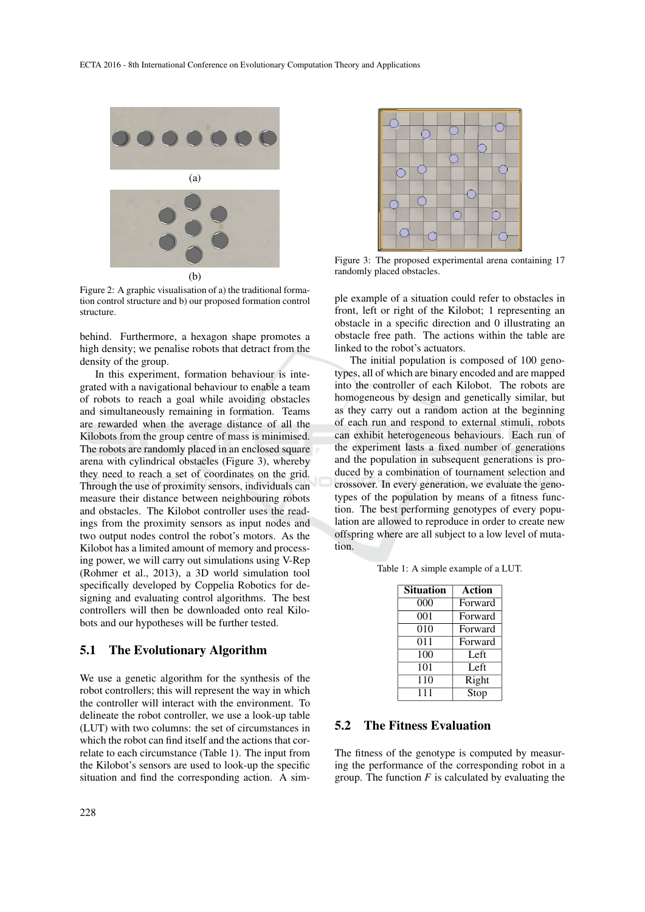

Figure 2: A graphic visualisation of a) the traditional formation control structure and b) our proposed formation control structure.

behind. Furthermore, a hexagon shape promotes a high density; we penalise robots that detract from the density of the group.

In this experiment, formation behaviour is integrated with a navigational behaviour to enable a team of robots to reach a goal while avoiding obstacles and simultaneously remaining in formation. Teams are rewarded when the average distance of all the Kilobots from the group centre of mass is minimised. The robots are randomly placed in an enclosed square arena with cylindrical obstacles (Figure 3), whereby they need to reach a set of coordinates on the grid. Through the use of proximity sensors, individuals can measure their distance between neighbouring robots and obstacles. The Kilobot controller uses the readings from the proximity sensors as input nodes and two output nodes control the robot's motors. As the Kilobot has a limited amount of memory and processing power, we will carry out simulations using V-Rep (Rohmer et al., 2013), a 3D world simulation tool specifically developed by Coppelia Robotics for designing and evaluating control algorithms. The best controllers will then be downloaded onto real Kilobots and our hypotheses will be further tested.

### 5.1 The Evolutionary Algorithm

We use a genetic algorithm for the synthesis of the robot controllers; this will represent the way in which the controller will interact with the environment. To delineate the robot controller, we use a look-up table (LUT) with two columns: the set of circumstances in which the robot can find itself and the actions that correlate to each circumstance (Table 1). The input from the Kilobot's sensors are used to look-up the specific situation and find the corresponding action. A sim-



Figure 3: The proposed experimental arena containing 17 randomly placed obstacles.

ple example of a situation could refer to obstacles in front, left or right of the Kilobot; 1 representing an obstacle in a specific direction and 0 illustrating an obstacle free path. The actions within the table are linked to the robot's actuators.

The initial population is composed of 100 genotypes, all of which are binary encoded and are mapped into the controller of each Kilobot. The robots are homogeneous by design and genetically similar, but as they carry out a random action at the beginning of each run and respond to external stimuli, robots can exhibit heterogeneous behaviours. Each run of the experiment lasts a fixed number of generations and the population in subsequent generations is produced by a combination of tournament selection and crossover. In every generation, we evaluate the genotypes of the population by means of a fitness function. The best performing genotypes of every population are allowed to reproduce in order to create new offspring where are all subject to a low level of mutation.

Table 1: A simple example of a LUT.

| <b>Situation</b> | <b>Action</b> |
|------------------|---------------|
| 000              | Forward       |
| 001              | Forward       |
| 010              | Forward       |
| 011              | Forward       |
| 100              | Left          |
| 101              | Left          |
| 110              | Right         |
| 111              | Stop          |

#### 5.2 The Fitness Evaluation

The fitness of the genotype is computed by measuring the performance of the corresponding robot in a group. The function *F* is calculated by evaluating the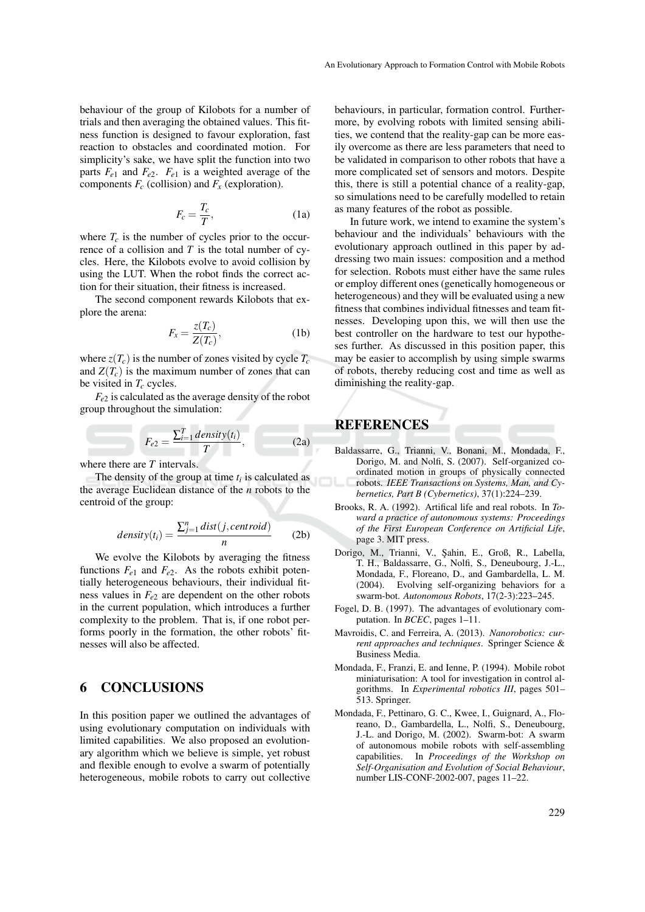behaviour of the group of Kilobots for a number of trials and then averaging the obtained values. This fitness function is designed to favour exploration, fast reaction to obstacles and coordinated motion. For simplicity's sake, we have split the function into two parts  $F_{e1}$  and  $F_{e2}$ .  $F_{e1}$  is a weighted average of the components  $F_c$  (collision) and  $F_x$  (exploration).

$$
F_c = \frac{T_c}{T},\tag{1a}
$$

where  $T_c$  is the number of cycles prior to the occurrence of a collision and *T* is the total number of cycles. Here, the Kilobots evolve to avoid collision by using the LUT. When the robot finds the correct action for their situation, their fitness is increased.

The second component rewards Kilobots that explore the arena:

$$
F_x = \frac{z(T_c)}{Z(T_c)},
$$
\n(1b)

where  $z(T_c)$  is the number of zones visited by cycle  $T_c$ and  $Z(T_c)$  is the maximum number of zones that can be visited in *T<sup>c</sup>* cycles.

*Fe*<sup>2</sup> is calculated as the average density of the robot group throughout the simulation:

$$
F_{e2} = \frac{\sum_{i=1}^{T} density(t_i)}{T},
$$
 (2a)

where there are *T* intervals.

The density of the group at time  $t_i$  is calculated as the average Euclidean distance of the *n* robots to the centroid of the group:

$$
density(t_i) = \frac{\sum_{j=1}^{n} dist(j, centroid)}{n}
$$
 (2b)

We evolve the Kilobots by averaging the fitness functions  $F_{e1}$  and  $F_{e2}$ . As the robots exhibit potentially heterogeneous behaviours, their individual fitness values in  $F_{e2}$  are dependent on the other robots in the current population, which introduces a further complexity to the problem. That is, if one robot performs poorly in the formation, the other robots' fitnesses will also be affected.

## 6 CONCLUSIONS

In this position paper we outlined the advantages of using evolutionary computation on individuals with limited capabilities. We also proposed an evolutionary algorithm which we believe is simple, yet robust and flexible enough to evolve a swarm of potentially heterogeneous, mobile robots to carry out collective

behaviours, in particular, formation control. Furthermore, by evolving robots with limited sensing abilities, we contend that the reality-gap can be more easily overcome as there are less parameters that need to be validated in comparison to other robots that have a more complicated set of sensors and motors. Despite this, there is still a potential chance of a reality-gap, so simulations need to be carefully modelled to retain as many features of the robot as possible.

In future work, we intend to examine the system's behaviour and the individuals' behaviours with the evolutionary approach outlined in this paper by addressing two main issues: composition and a method for selection. Robots must either have the same rules or employ different ones (genetically homogeneous or heterogeneous) and they will be evaluated using a new fitness that combines individual fitnesses and team fitnesses. Developing upon this, we will then use the best controller on the hardware to test our hypotheses further. As discussed in this position paper, this may be easier to accomplish by using simple swarms of robots, thereby reducing cost and time as well as diminishing the reality-gap.

## REFERENCES

- Baldassarre, G., Trianni, V., Bonani, M., Mondada, F., Dorigo, M. and Nolfi, S. (2007). Self-organized coordinated motion in groups of physically connected robots. *IEEE Transactions on Systems, Man, and Cybernetics, Part B (Cybernetics)*, 37(1):224–239.
- Brooks, R. A. (1992). Artifical life and real robots. In *Toward a practice of autonomous systems: Proceedings of the First European Conference on Artificial Life*, page 3. MIT press.
- Dorigo, M., Trianni, V., Sahin, E., Groß, R., Labella, T. H., Baldassarre, G., Nolfi, S., Deneubourg, J.-L., Mondada, F., Floreano, D., and Gambardella, L. M. (2004). Evolving self-organizing behaviors for a swarm-bot. *Autonomous Robots*, 17(2-3):223–245.
- Fogel, D. B. (1997). The advantages of evolutionary computation. In *BCEC*, pages 1–11.
- Mavroidis, C. and Ferreira, A. (2013). *Nanorobotics: current approaches and techniques*. Springer Science & Business Media.
- Mondada, F., Franzi, E. and Ienne, P. (1994). Mobile robot miniaturisation: A tool for investigation in control algorithms. In *Experimental robotics III*, pages 501– 513. Springer.
- Mondada, F., Pettinaro, G. C., Kwee, I., Guignard, A., Floreano, D., Gambardella, L., Nolfi, S., Deneubourg, J.-L. and Dorigo, M. (2002). Swarm-bot: A swarm of autonomous mobile robots with self-assembling capabilities. In *Proceedings of the Workshop on Self-Organisation and Evolution of Social Behaviour*, number LIS-CONF-2002-007, pages 11–22.